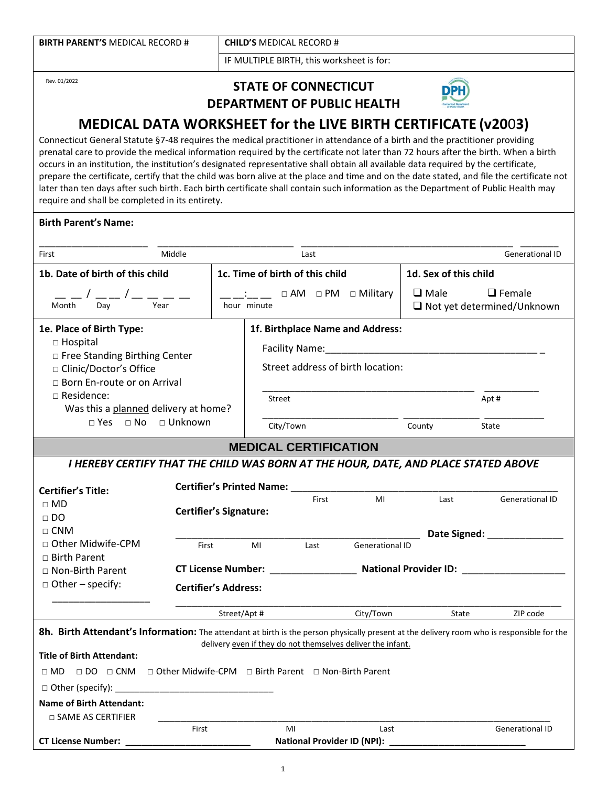| <b>BIRTH PARENT'S MEDICAL RECORD #</b> | <b>CHILD'S MEDICAL RECORD #</b>           |  |  |  |
|----------------------------------------|-------------------------------------------|--|--|--|
|                                        | IF MULTIPLE BIRTH, this worksheet is for: |  |  |  |
|                                        |                                           |  |  |  |

Rev. 01/2022

# **STATE OF CONNECTICUT DEPARTMENT OF PUBLIC HEALTH**



# **MEDICAL DATA WORKSHEET for the LIVE BIRTH CERTIFICATE (v20**0**3)**

Connecticut General Statute §7-48 requires the medical practitioner in attendance of a birth and the practitioner providing prenatal care to provide the medical information required by the certificate not later than 72 hours after the birth. When a birth occurs in an institution, the institution's designated representative shall obtain all available data required by the certificate, prepare the certificate, certify that the child was born alive at the place and time and on the date stated, and file the certificate not later than ten days after such birth. Each birth certificate shall contain such information as the Department of Public Health may require and shall be completed in its entirety.

## **Birth Parent's Name:**

| First                                                                                                                                                                                                                                                                                                                  | Middle                              |                                                                              | Last                                                                                         |                                                                   |                       | <b>Generational ID</b>                                                                                                                        |
|------------------------------------------------------------------------------------------------------------------------------------------------------------------------------------------------------------------------------------------------------------------------------------------------------------------------|-------------------------------------|------------------------------------------------------------------------------|----------------------------------------------------------------------------------------------|-------------------------------------------------------------------|-----------------------|-----------------------------------------------------------------------------------------------------------------------------------------------|
| 1b. Date of birth of this child                                                                                                                                                                                                                                                                                        |                                     |                                                                              | 1c. Time of birth of this child                                                              |                                                                   | 1d. Sex of this child |                                                                                                                                               |
| — — / —— / — — — —<br>Month Day                                                                                                                                                                                                                                                                                        | Year                                | $\therefore$ $\Box$ $\Box$ AM $\Box$ PM $\Box$ Military<br>hour minute       |                                                                                              | $\Box$ Male<br>$\Box$ Female<br>$\Box$ Not yet determined/Unknown |                       |                                                                                                                                               |
| 1e. Place of Birth Type:<br>□ Hospital<br>□ Free Standing Birthing Center<br>□ Clinic/Doctor's Office<br>□ Born En-route or on Arrival<br>$\Box$ Residence:<br>Was this a planned delivery at home?                                                                                                                    | $\Box$ Yes $\Box$ No $\Box$ Unknown |                                                                              | 1f. Birthplace Name and Address:<br>Street address of birth location:<br>Street<br>City/Town |                                                                   | County                | Apt#<br>State                                                                                                                                 |
|                                                                                                                                                                                                                                                                                                                        |                                     |                                                                              | <b>MEDICAL CERTIFICATION</b>                                                                 |                                                                   |                       |                                                                                                                                               |
| I HEREBY CERTIFY THAT THE CHILD WAS BORN AT THE HOUR, DATE, AND PLACE STATED ABOVE<br><b>Certifier's Title:</b><br>$\Box$ MD<br>$\Box$ DO<br>$\Box$ CNM<br>□ Other Midwife-CPM<br>$\Box$ Birth Parent<br>$\Box$ Non-Birth Parent<br>$\Box$ Other – specify:                                                            | First                               | <b>Certifier's Signature:</b><br><b>Certifier's Address:</b><br>Street/Apt # | First<br>MI<br>Last                                                                          | MI<br><b>Generational ID</b><br>City/Town                         | Last<br>State         | <b>Generational ID</b><br>Date Signed: _________________<br><b>CT License Number:</b> National Provider ID: National Provider ID:<br>ZIP code |
| 8h. Birth Attendant's Information: The attendant at birth is the person physically present at the delivery room who is responsible for the<br><b>Title of Birth Attendant:</b><br>□ MD □ DO □ CNM □ Other Midwife-CPM □ Birth Parent □ Non-Birth Parent<br><b>Name of Birth Attendant:</b><br>$\Box$ SAME AS CERTIFIER |                                     |                                                                              | delivery even if they do not themselves deliver the infant.                                  |                                                                   |                       |                                                                                                                                               |
|                                                                                                                                                                                                                                                                                                                        | First                               |                                                                              | MI                                                                                           | Last                                                              |                       | <b>Generational ID</b>                                                                                                                        |
| CT License Number:                                                                                                                                                                                                                                                                                                     |                                     |                                                                              |                                                                                              | National Provider ID (NPI): ___________                           |                       |                                                                                                                                               |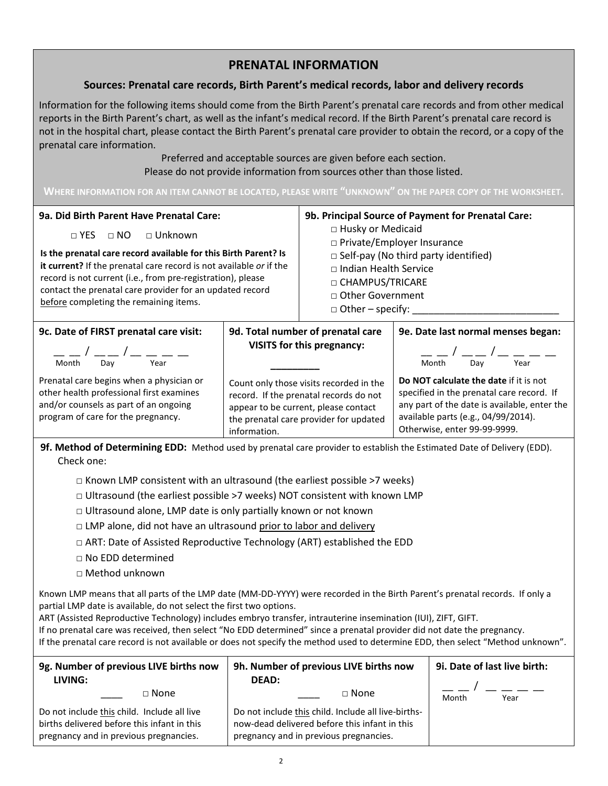# **PRENATAL INFORMATION**

## **Sources: Prenatal care records, Birth Parent's medical records, labor and delivery records**

Information for the following items should come from the Birth Parent's prenatal care records and from other medical reports in the Birth Parent's chart, as well as the infant's medical record. If the Birth Parent's prenatal care record is not in the hospital chart, please contact the Birth Parent's prenatal care provider to obtain the record, or a copy of the prenatal care information.

> Preferred and acceptable sources are given before each section. Please do not provide information from sources other than those listed.

#### **WHERE INFORMATION FOR AN ITEM CANNOT BE LOCATED, PLEASE WRITE "UNKNOWN" ON THE PAPER COPY OF THE WORKSHEET.**

| 9a. Did Birth Parent Have Prenatal Care:<br>$\Box$ Unknown<br>$\sqcap$ YES<br>$\sqcap$ NO<br>Is the prenatal care record available for this Birth Parent? Is<br>it current? If the prenatal care record is not available or if the<br>record is not current (i.e., from pre-registration), please<br>contact the prenatal care provider for an updated record<br>before completing the remaining items. |                                                                                                                                                                                     | 9b. Principal Source of Payment for Prenatal Care:<br>□ Husky or Medicaid<br>□ Private/Employer Insurance<br>$\Box$ Self-pay (No third party identified)<br>$\Box$ Indian Health Service<br>□ CHAMPUS/TRICARE<br>$\Box$ Other Government<br>$\Box$ Other – specify: |                                                                                                                                                                                                            |  |
|---------------------------------------------------------------------------------------------------------------------------------------------------------------------------------------------------------------------------------------------------------------------------------------------------------------------------------------------------------------------------------------------------------|-------------------------------------------------------------------------------------------------------------------------------------------------------------------------------------|---------------------------------------------------------------------------------------------------------------------------------------------------------------------------------------------------------------------------------------------------------------------|------------------------------------------------------------------------------------------------------------------------------------------------------------------------------------------------------------|--|
| 9c. Date of FIRST prenatal care visit:<br>Month<br>Day<br>Year                                                                                                                                                                                                                                                                                                                                          | 9d. Total number of prenatal care<br><b>VISITS for this pregnancy:</b>                                                                                                              |                                                                                                                                                                                                                                                                     | 9e. Date last normal menses began:<br>Month<br>Day<br>Year                                                                                                                                                 |  |
| Prenatal care begins when a physician or<br>other health professional first examines<br>and/or counsels as part of an ongoing<br>program of care for the pregnancy.                                                                                                                                                                                                                                     | Count only those visits recorded in the<br>record. If the prenatal records do not<br>appear to be current, please contact<br>the prenatal care provider for updated<br>information. |                                                                                                                                                                                                                                                                     | Do NOT calculate the date if it is not<br>specified in the prenatal care record. If<br>any part of the date is available, enter the<br>available parts (e.g., 04/99/2014).<br>Otherwise, enter 99-99-9999. |  |

**9f. Method of Determining EDD:** Method used by prenatal care provider to establish the Estimated Date of Delivery (EDD). Check one:

- $\square$  Known LMP consistent with an ultrasound (the earliest possible >7 weeks)
- □ Ultrasound (the earliest possible >7 weeks) NOT consistent with known LMP
- $\Box$  Ultrasound alone, LMP date is only partially known or not known
- □ LMP alone, did not have an ultrasound prior to labor and delivery
- □ ART: Date of Assisted Reproductive Technology (ART) established the EDD
- □ No EDD determined
- □ Method unknown

Known LMP means that all parts of the LMP date (MM-DD-YYYY) were recorded in the Birth Parent's prenatal records. If only a partial LMP date is available, do not select the first two options.

ART (Assisted Reproductive Technology) includes embryo transfer, intrauterine insemination (IUI), ZIFT, GIFT.

If no prenatal care was received, then select "No EDD determined" since a prenatal provider did not date the pregnancy. If the prenatal care record is not available or does not specify the method used to determine EDD, then select "Method unknown".

| 9g. Number of previous LIVE births now<br>LIVING: | 9h. Number of previous LIVE births now<br><b>DEAD:</b> | 9i. Date of last live birth:      |
|---------------------------------------------------|--------------------------------------------------------|-----------------------------------|
|                                                   |                                                        | المستوار المستوار المستور المستور |
| $\sqcap$ None                                     | $\sqcap$ None                                          | Month<br>Year                     |
| Do not include this child. Include all live       | Do not include this child. Include all live-births-    |                                   |
| births delivered before this infant in this       | now-dead delivered before this infant in this          |                                   |
| pregnancy and in previous pregnancies.            | pregnancy and in previous pregnancies.                 |                                   |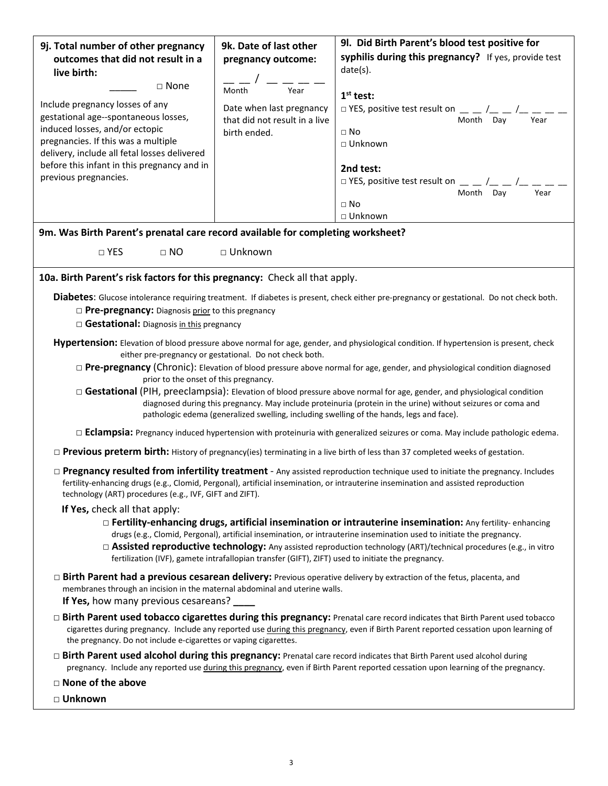| 9j. Total number of other pregnancy                                                                                                                                                                      | 9k. Date of last other                                  | 9l. Did Birth Parent's blood test positive for                                                                                                  |  |  |
|----------------------------------------------------------------------------------------------------------------------------------------------------------------------------------------------------------|---------------------------------------------------------|-------------------------------------------------------------------------------------------------------------------------------------------------|--|--|
| outcomes that did not result in a                                                                                                                                                                        | pregnancy outcome:                                      | syphilis during this pregnancy? If yes, provide test                                                                                            |  |  |
| live birth:                                                                                                                                                                                              |                                                         | date(s).                                                                                                                                        |  |  |
| □ None                                                                                                                                                                                                   | Year<br>Month                                           | $1st$ test:                                                                                                                                     |  |  |
| Include pregnancy losses of any                                                                                                                                                                          | Date when last pregnancy                                | $\Box$ YES, positive test result on $\Box$ $\Box$ $\Box$                                                                                        |  |  |
| gestational age--spontaneous losses,<br>induced losses, and/or ectopic                                                                                                                                   | that did not result in a live                           | Month Dav<br>Year                                                                                                                               |  |  |
| pregnancies. If this was a multiple                                                                                                                                                                      | birth ended.                                            | $\Box$ No<br>$\Box$ Unknown                                                                                                                     |  |  |
| delivery, include all fetal losses delivered                                                                                                                                                             |                                                         |                                                                                                                                                 |  |  |
| before this infant in this pregnancy and in                                                                                                                                                              |                                                         | 2nd test:                                                                                                                                       |  |  |
| previous pregnancies.                                                                                                                                                                                    |                                                         | $\Box$ YES, positive test result on $\Box$ $\Box$ $\Box$<br>Month Day<br>Year                                                                   |  |  |
|                                                                                                                                                                                                          |                                                         | $\Box$ No                                                                                                                                       |  |  |
|                                                                                                                                                                                                          |                                                         | $\Box$ Unknown                                                                                                                                  |  |  |
| 9m. Was Birth Parent's prenatal care record available for completing worksheet?                                                                                                                          |                                                         |                                                                                                                                                 |  |  |
| $\Box$ YES<br>$\Box$ NO                                                                                                                                                                                  | □ Unknown                                               |                                                                                                                                                 |  |  |
|                                                                                                                                                                                                          |                                                         |                                                                                                                                                 |  |  |
| 10a. Birth Parent's risk factors for this pregnancy: Check all that apply.                                                                                                                               |                                                         |                                                                                                                                                 |  |  |
|                                                                                                                                                                                                          |                                                         | <b>Diabetes:</b> Glucose intolerance requiring treatment. If diabetes is present, check either pre-pregnancy or gestational. Do not check both. |  |  |
| $\Box$ Pre-pregnancy: Diagnosis prior to this pregnancy                                                                                                                                                  |                                                         |                                                                                                                                                 |  |  |
| Gestational: Diagnosis in this pregnancy                                                                                                                                                                 |                                                         |                                                                                                                                                 |  |  |
|                                                                                                                                                                                                          |                                                         | Hypertension: Elevation of blood pressure above normal for age, gender, and physiological condition. If hypertension is present, check          |  |  |
|                                                                                                                                                                                                          | either pre-pregnancy or gestational. Do not check both. |                                                                                                                                                 |  |  |
| prior to the onset of this pregnancy.                                                                                                                                                                    |                                                         | $\Box$ <b>Pre-pregnancy</b> (Chronic): Elevation of blood pressure above normal for age, gender, and physiological condition diagnosed          |  |  |
| □ Gestational (PIH, preeclampsia): Elevation of blood pressure above normal for age, gender, and physiological condition                                                                                 |                                                         |                                                                                                                                                 |  |  |
| diagnosed during this pregnancy. May include proteinuria (protein in the urine) without seizures or coma and<br>pathologic edema (generalized swelling, including swelling of the hands, legs and face). |                                                         |                                                                                                                                                 |  |  |
|                                                                                                                                                                                                          |                                                         |                                                                                                                                                 |  |  |
|                                                                                                                                                                                                          |                                                         | $\Box$ <b>Eclampsia:</b> Pregnancy induced hypertension with proteinuria with generalized seizures or coma. May include pathologic edema.       |  |  |
|                                                                                                                                                                                                          |                                                         | $\Box$ <b>Previous preterm birth:</b> History of pregnancy(ies) terminating in a live birth of less than 37 completed weeks of gestation.       |  |  |
|                                                                                                                                                                                                          |                                                         | $\Box$ Pregnancy resulted from infertility treatment - Any assisted reproduction technique used to initiate the pregnancy. Includes             |  |  |
|                                                                                                                                                                                                          |                                                         | fertility-enhancing drugs (e.g., Clomid, Pergonal), artificial insemination, or intrauterine insemination and assisted reproduction             |  |  |
| technology (ART) procedures (e.g., IVF, GIFT and ZIFT).<br>If Yes, check all that apply:                                                                                                                 |                                                         |                                                                                                                                                 |  |  |
|                                                                                                                                                                                                          |                                                         | $\Box$ Fertility-enhancing drugs, artificial insemination or intrauterine insemination: Any fertility-enhancing                                 |  |  |
|                                                                                                                                                                                                          |                                                         | drugs (e.g., Clomid, Pergonal), artificial insemination, or intrauterine insemination used to initiate the pregnancy.                           |  |  |
|                                                                                                                                                                                                          |                                                         | □ Assisted reproductive technology: Any assisted reproduction technology (ART)/technical procedures (e.g., in vitro                             |  |  |
| fertilization (IVF), gamete intrafallopian transfer (GIFT), ZIFT) used to initiate the pregnancy.                                                                                                        |                                                         |                                                                                                                                                 |  |  |
| $\Box$ Birth Parent had a previous cesarean delivery: Previous operative delivery by extraction of the fetus, placenta, and                                                                              |                                                         |                                                                                                                                                 |  |  |
| membranes through an incision in the maternal abdominal and uterine walls.<br>If Yes, how many previous cesareans?                                                                                       |                                                         |                                                                                                                                                 |  |  |
| □ Birth Parent used tobacco cigarettes during this pregnancy: Prenatal care record indicates that Birth Parent used tobacco                                                                              |                                                         |                                                                                                                                                 |  |  |
| cigarettes during pregnancy. Include any reported use during this pregnancy, even if Birth Parent reported cessation upon learning of                                                                    |                                                         |                                                                                                                                                 |  |  |
| the pregnancy. Do not include e-cigarettes or vaping cigarettes.                                                                                                                                         |                                                         |                                                                                                                                                 |  |  |
| $\Box$ Birth Parent used alcohol during this pregnancy: Prenatal care record indicates that Birth Parent used alcohol during                                                                             |                                                         |                                                                                                                                                 |  |  |
| pregnancy. Include any reported use during this pregnancy, even if Birth Parent reported cessation upon learning of the pregnancy.                                                                       |                                                         |                                                                                                                                                 |  |  |
| $\Box$ None of the above                                                                                                                                                                                 |                                                         |                                                                                                                                                 |  |  |
| □ Unknown                                                                                                                                                                                                |                                                         |                                                                                                                                                 |  |  |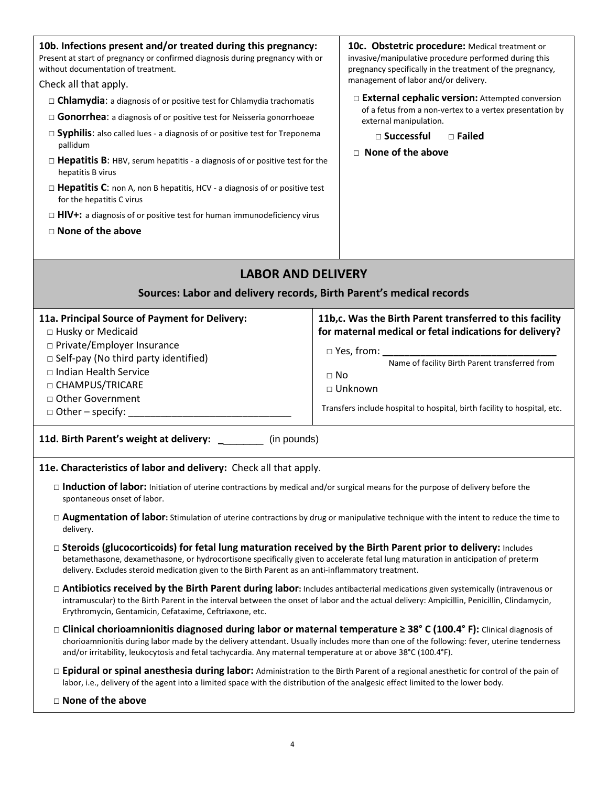| 10b. Infections present and/or treated during this pregnancy:<br>Present at start of pregnancy or confirmed diagnosis during pregnancy with or<br>without documentation of treatment.<br>Check all that apply.                                                                                                                                                  | 10c. Obstetric procedure: Medical treatment or<br>invasive/manipulative procedure performed during this<br>pregnancy specifically in the treatment of the pregnancy,<br>management of labor and/or delivery. |  |
|-----------------------------------------------------------------------------------------------------------------------------------------------------------------------------------------------------------------------------------------------------------------------------------------------------------------------------------------------------------------|--------------------------------------------------------------------------------------------------------------------------------------------------------------------------------------------------------------|--|
|                                                                                                                                                                                                                                                                                                                                                                 | External cephalic version: Attempted conversion                                                                                                                                                              |  |
| $\Box$ Chlamydia: a diagnosis of or positive test for Chlamydia trachomatis                                                                                                                                                                                                                                                                                     | of a fetus from a non-vertex to a vertex presentation by                                                                                                                                                     |  |
| $\Box$ Gonorrhea: a diagnosis of or positive test for Neisseria gonorrhoeae                                                                                                                                                                                                                                                                                     | external manipulation.                                                                                                                                                                                       |  |
| $\Box$ Syphilis: also called lues - a diagnosis of or positive test for Treponema<br>pallidum                                                                                                                                                                                                                                                                   | □ Successful<br>$\Box$ Failed                                                                                                                                                                                |  |
| $\Box$ Hepatitis B: HBV, serum hepatitis - a diagnosis of or positive test for the<br>hepatitis B virus                                                                                                                                                                                                                                                         | $\Box$ None of the above                                                                                                                                                                                     |  |
| $\Box$ Hepatitis C: non A, non B hepatitis, HCV - a diagnosis of or positive test<br>for the hepatitis C virus                                                                                                                                                                                                                                                  |                                                                                                                                                                                                              |  |
| $\Box$ HIV+: a diagnosis of or positive test for human immunodeficiency virus                                                                                                                                                                                                                                                                                   |                                                                                                                                                                                                              |  |
| $\Box$ None of the above                                                                                                                                                                                                                                                                                                                                        |                                                                                                                                                                                                              |  |
|                                                                                                                                                                                                                                                                                                                                                                 |                                                                                                                                                                                                              |  |
|                                                                                                                                                                                                                                                                                                                                                                 |                                                                                                                                                                                                              |  |
| <b>LABOR AND DELIVERY</b>                                                                                                                                                                                                                                                                                                                                       |                                                                                                                                                                                                              |  |
| Sources: Labor and delivery records, Birth Parent's medical records                                                                                                                                                                                                                                                                                             |                                                                                                                                                                                                              |  |
| 11a. Principal Source of Payment for Delivery:                                                                                                                                                                                                                                                                                                                  | 11b,c. Was the Birth Parent transferred to this facility                                                                                                                                                     |  |
| □ Husky or Medicaid                                                                                                                                                                                                                                                                                                                                             | for maternal medical or fetal indications for delivery?                                                                                                                                                      |  |
| □ Private/Employer Insurance                                                                                                                                                                                                                                                                                                                                    | □ Yes, from: ________________<br>Name of facility Birth Parent transferred from<br>$\Box$ No<br>□ Unknown                                                                                                    |  |
| □ Self-pay (No third party identified)                                                                                                                                                                                                                                                                                                                          |                                                                                                                                                                                                              |  |
| □ Indian Health Service                                                                                                                                                                                                                                                                                                                                         |                                                                                                                                                                                                              |  |
| □ CHAMPUS/TRICARE                                                                                                                                                                                                                                                                                                                                               |                                                                                                                                                                                                              |  |
| □ Other Government                                                                                                                                                                                                                                                                                                                                              |                                                                                                                                                                                                              |  |
| $\Box$ Other – specify:                                                                                                                                                                                                                                                                                                                                         | Transfers include hospital to hospital, birth facility to hospital, etc.                                                                                                                                     |  |
| 11d. Birth Parent's weight at delivery: ________ (in pounds)                                                                                                                                                                                                                                                                                                    |                                                                                                                                                                                                              |  |
| 11e. Characteristics of labor and delivery: Check all that apply.                                                                                                                                                                                                                                                                                               |                                                                                                                                                                                                              |  |
| $\Box$ Induction of labor: Initiation of uterine contractions by medical and/or surgical means for the purpose of delivery before the<br>spontaneous onset of labor.                                                                                                                                                                                            |                                                                                                                                                                                                              |  |
| $\Box$ <b>Augmentation of labor:</b> Stimulation of uterine contractions by drug or manipulative technique with the intent to reduce the time to<br>delivery.                                                                                                                                                                                                   |                                                                                                                                                                                                              |  |
| $\Box$ Steroids (glucocorticoids) for fetal lung maturation received by the Birth Parent prior to delivery: Includes<br>betamethasone, dexamethasone, or hydrocortisone specifically given to accelerate fetal lung maturation in anticipation of preterm<br>delivery. Excludes steroid medication given to the Birth Parent as an anti-inflammatory treatment. |                                                                                                                                                                                                              |  |
| $\Box$ Antibiotics received by the Birth Parent during labor: Includes antibacterial medications given systemically (intravenous or<br>intramuscular) to the Birth Parent in the interval between the onset of labor and the actual delivery: Ampicillin, Penicillin, Clindamycin,<br>Erythromycin, Gentamicin, Cefataxime, Ceftriaxone, etc.                   |                                                                                                                                                                                                              |  |
| □ Clinical chorioamnionitis diagnosed during labor or maternal temperature $\geq$ 38° C (100.4° F): Clinical diagnosis of<br>and/or irritability, leukocytosis and fetal tachycardia. Any maternal temperature at or above 38°C (100.4°F).                                                                                                                      | chorioamnionitis during labor made by the delivery attendant. Usually includes more than one of the following: fever, uterine tenderness                                                                     |  |
| □ Epidural or spinal anesthesia during labor: Administration to the Birth Parent of a regional anesthetic for control of the pain of<br>labor, i.e., delivery of the agent into a limited space with the distribution of the analgesic effect limited to the lower body.                                                                                        |                                                                                                                                                                                                              |  |
| □ None of the above                                                                                                                                                                                                                                                                                                                                             |                                                                                                                                                                                                              |  |

4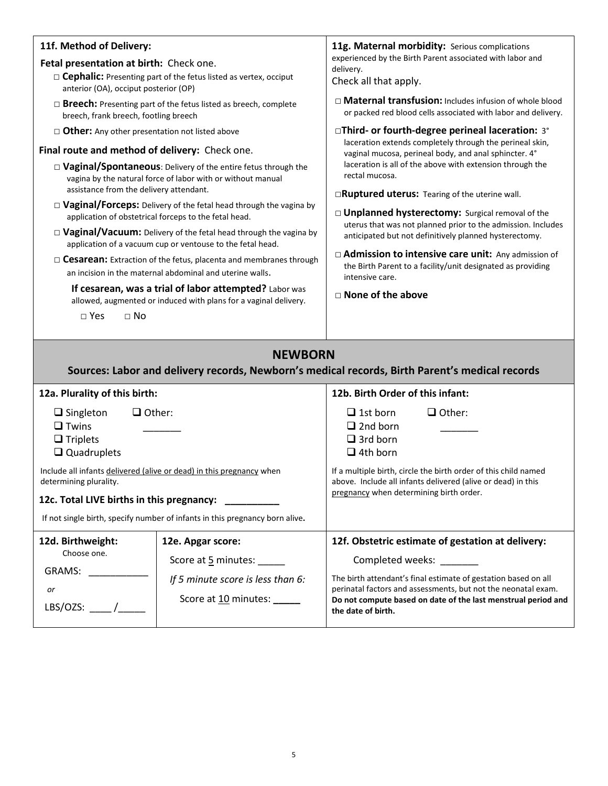| 11f. Method of Delivery:<br>Fetal presentation at birth: Check one.<br>$\Box$ Cephalic: Presenting part of the fetus listed as vertex, occiput<br>anterior (OA), occiput posterior (OP)<br>$\Box$ <b>Breech:</b> Presenting part of the fetus listed as breech, complete<br>breech, frank breech, footling breech<br>$\Box$ Other: Any other presentation not listed above<br>Final route and method of delivery: Check one.<br>□ Vaginal/Spontaneous: Delivery of the entire fetus through the<br>vagina by the natural force of labor with or without manual<br>assistance from the delivery attendant.<br>$\Box$ Vaginal/Forceps: Delivery of the fetal head through the vagina by<br>application of obstetrical forceps to the fetal head.<br>$\Box$ Vaginal/Vacuum: Delivery of the fetal head through the vagina by<br>application of a vacuum cup or ventouse to the fetal head.<br>$\Box$ Cesarean: Extraction of the fetus, placenta and membranes through<br>an incision in the maternal abdominal and uterine walls.<br>If cesarean, was a trial of labor attempted? Labor was<br>allowed, augmented or induced with plans for a vaginal delivery.<br>$\Box$ Yes<br>$\Box$ No |                                                                                                             | 11g. Maternal morbidity: Serious complications<br>experienced by the Birth Parent associated with labor and<br>delivery.<br>Check all that apply.<br>$\Box$ Maternal transfusion: Includes infusion of whole blood<br>or packed red blood cells associated with labor and delivery.<br>□Third- or fourth-degree perineal laceration: 3°<br>laceration extends completely through the perineal skin,<br>vaginal mucosa, perineal body, and anal sphincter. 4°<br>laceration is all of the above with extension through the<br>rectal mucosa.<br><b>ERuptured uterus:</b> Tearing of the uterine wall.<br>$\Box$ Unplanned hysterectomy: Surgical removal of the<br>uterus that was not planned prior to the admission. Includes<br>anticipated but not definitively planned hysterectomy.<br>□ Admission to intensive care unit: Any admission of<br>the Birth Parent to a facility/unit designated as providing<br>intensive care.<br>$\Box$ None of the above |  |
|------------------------------------------------------------------------------------------------------------------------------------------------------------------------------------------------------------------------------------------------------------------------------------------------------------------------------------------------------------------------------------------------------------------------------------------------------------------------------------------------------------------------------------------------------------------------------------------------------------------------------------------------------------------------------------------------------------------------------------------------------------------------------------------------------------------------------------------------------------------------------------------------------------------------------------------------------------------------------------------------------------------------------------------------------------------------------------------------------------------------------------------------------------------------------------------|-------------------------------------------------------------------------------------------------------------|----------------------------------------------------------------------------------------------------------------------------------------------------------------------------------------------------------------------------------------------------------------------------------------------------------------------------------------------------------------------------------------------------------------------------------------------------------------------------------------------------------------------------------------------------------------------------------------------------------------------------------------------------------------------------------------------------------------------------------------------------------------------------------------------------------------------------------------------------------------------------------------------------------------------------------------------------------------|--|
|                                                                                                                                                                                                                                                                                                                                                                                                                                                                                                                                                                                                                                                                                                                                                                                                                                                                                                                                                                                                                                                                                                                                                                                          |                                                                                                             |                                                                                                                                                                                                                                                                                                                                                                                                                                                                                                                                                                                                                                                                                                                                                                                                                                                                                                                                                                |  |
|                                                                                                                                                                                                                                                                                                                                                                                                                                                                                                                                                                                                                                                                                                                                                                                                                                                                                                                                                                                                                                                                                                                                                                                          | <b>NEWBORN</b>                                                                                              |                                                                                                                                                                                                                                                                                                                                                                                                                                                                                                                                                                                                                                                                                                                                                                                                                                                                                                                                                                |  |
|                                                                                                                                                                                                                                                                                                                                                                                                                                                                                                                                                                                                                                                                                                                                                                                                                                                                                                                                                                                                                                                                                                                                                                                          |                                                                                                             | Sources: Labor and delivery records, Newborn's medical records, Birth Parent's medical records                                                                                                                                                                                                                                                                                                                                                                                                                                                                                                                                                                                                                                                                                                                                                                                                                                                                 |  |
| 12a. Plurality of this birth:                                                                                                                                                                                                                                                                                                                                                                                                                                                                                                                                                                                                                                                                                                                                                                                                                                                                                                                                                                                                                                                                                                                                                            |                                                                                                             | 12b. Birth Order of this infant:                                                                                                                                                                                                                                                                                                                                                                                                                                                                                                                                                                                                                                                                                                                                                                                                                                                                                                                               |  |
| $\Box$ Singleton<br>$\Box$ Other:<br>$\Box$ Twins<br>$\Box$ Triplets<br>$\Box$ Quadruplets<br>Include all infants delivered (alive or dead) in this pregnancy when<br>determining plurality.                                                                                                                                                                                                                                                                                                                                                                                                                                                                                                                                                                                                                                                                                                                                                                                                                                                                                                                                                                                             |                                                                                                             | $\Box$ 1st born<br>$\Box$ Other:<br>$\Box$ 2nd born<br>$\Box$ 3rd born<br>$\Box$ 4th born<br>If a multiple birth, circle the birth order of this child named<br>above. Include all infants delivered (alive or dead) in this                                                                                                                                                                                                                                                                                                                                                                                                                                                                                                                                                                                                                                                                                                                                   |  |
| 12c. Total LIVE births in this pregnancy:                                                                                                                                                                                                                                                                                                                                                                                                                                                                                                                                                                                                                                                                                                                                                                                                                                                                                                                                                                                                                                                                                                                                                |                                                                                                             | pregnancy when determining birth order.                                                                                                                                                                                                                                                                                                                                                                                                                                                                                                                                                                                                                                                                                                                                                                                                                                                                                                                        |  |
| If not single birth, specify number of infants in this pregnancy born alive.                                                                                                                                                                                                                                                                                                                                                                                                                                                                                                                                                                                                                                                                                                                                                                                                                                                                                                                                                                                                                                                                                                             |                                                                                                             |                                                                                                                                                                                                                                                                                                                                                                                                                                                                                                                                                                                                                                                                                                                                                                                                                                                                                                                                                                |  |
|                                                                                                                                                                                                                                                                                                                                                                                                                                                                                                                                                                                                                                                                                                                                                                                                                                                                                                                                                                                                                                                                                                                                                                                          |                                                                                                             |                                                                                                                                                                                                                                                                                                                                                                                                                                                                                                                                                                                                                                                                                                                                                                                                                                                                                                                                                                |  |
| 12d. Birthweight:<br>Choose one.<br>GRAMS:<br>or<br>LBS/OZS: $\_\_\_\_\_\$                                                                                                                                                                                                                                                                                                                                                                                                                                                                                                                                                                                                                                                                                                                                                                                                                                                                                                                                                                                                                                                                                                               | 12e. Apgar score:<br>Score at 5 minutes:<br>If 5 minute score is less than 6:<br>Score at 10 minutes: _____ | 12f. Obstetric estimate of gestation at delivery:<br>Completed weeks: _______<br>The birth attendant's final estimate of gestation based on all<br>perinatal factors and assessments, but not the neonatal exam.<br>Do not compute based on date of the last menstrual period and<br>the date of birth.                                                                                                                                                                                                                                                                                                                                                                                                                                                                                                                                                                                                                                                        |  |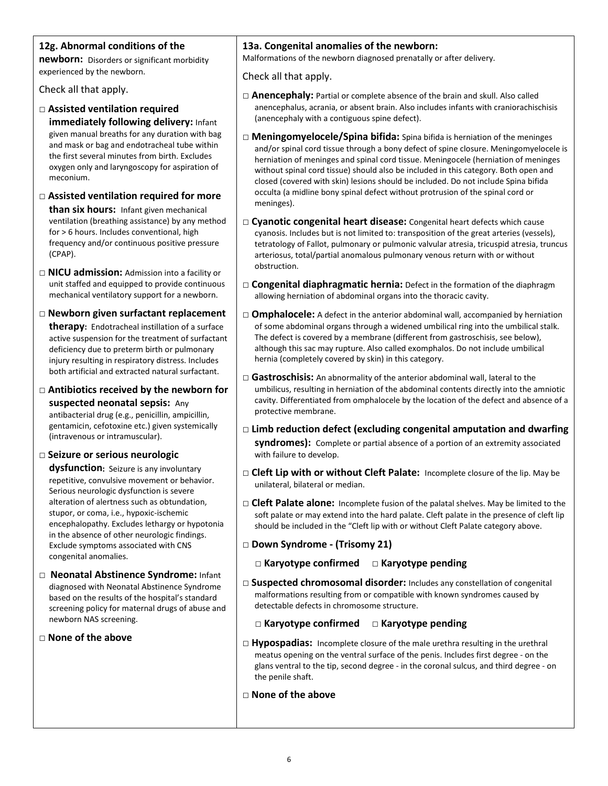### **12g. Abnormal conditions of the**

**newborn:** Disorders or significant morbidity experienced by the newborn.

Check all that apply.

- □ **Assisted ventilation required immediately following delivery:** Infant given manual breaths for any duration with bag and mask or bag and endotracheal tube within the first several minutes from birth. Excludes oxygen only and laryngoscopy for aspiration of meconium.
- □ **Assisted ventilation required for more than six hours:** Infant given mechanical ventilation (breathing assistance) by any method for > 6 hours. Includes conventional, high frequency and/or continuous positive pressure (CPAP).
- □ **NICU admission:** Admission into a facility or unit staffed and equipped to provide continuous mechanical ventilatory support for a newborn.
- □ **Newborn given surfactant replacement therapy:** Endotracheal instillation of a surface active suspension for the treatment of surfactant deficiency due to preterm birth or pulmonary injury resulting in respiratory distress. Includes both artificial and extracted natural surfactant.
- □ **Antibiotics received by the newborn for suspected neonatal sepsis:** Any antibacterial drug (e.g., penicillin, ampicillin, gentamicin, cefotoxine etc.) given systemically (intravenous or intramuscular).
- □ **Seizure or serious neurologic**

**dysfunction:** Seizure is any involuntary repetitive, convulsive movement or behavior. Serious neurologic dysfunction is severe alteration of alertness such as obtundation, stupor, or coma, i.e., hypoxic-ischemic encephalopathy. Excludes lethargy or hypotonia in the absence of other neurologic findings. Exclude symptoms associated with CNS congenital anomalies.

- □ **Neonatal Abstinence Syndrome:** Infant diagnosed with Neonatal Abstinence Syndrome based on the results of the hospital's standard screening policy for maternal drugs of abuse and newborn NAS screening.
- □ **None of the above**

#### **13a. Congenital anomalies of the newborn:**

Malformations of the newborn diagnosed prenatally or after delivery.

Check all that apply.

- □ **Anencephaly:** Partial or complete absence of the brain and skull. Also called anencephalus, acrania, or absent brain. Also includes infants with craniorachischisis (anencephaly with a contiguous spine defect).
- □ **Meningomyelocele/Spina bifida:** Spina bifida is herniation of the meninges and/or spinal cord tissue through a bony defect of spine closure. Meningomyelocele is herniation of meninges and spinal cord tissue. Meningocele (herniation of meninges without spinal cord tissue) should also be included in this category. Both open and closed (covered with skin) lesions should be included. Do not include Spina bifida occulta (a midline bony spinal defect without protrusion of the spinal cord or meninges).
- □ **Cyanotic congenital heart disease:** Congenital heart defects which cause cyanosis. Includes but is not limited to: transposition of the great arteries (vessels), tetratology of Fallot, pulmonary or pulmonic valvular atresia, tricuspid atresia, truncus arteriosus, total/partial anomalous pulmonary venous return with or without obstruction.
- □ **Congenital diaphragmatic hernia:** Defect in the formation of the diaphragm allowing herniation of abdominal organs into the thoracic cavity.
- $\Box$  **Omphalocele:** A defect in the anterior abdominal wall, accompanied by herniation of some abdominal organs through a widened umbilical ring into the umbilical stalk. The defect is covered by a membrane (different from gastroschisis, see below), although this sac may rupture. Also called exomphalos. Do not include umbilical hernia (completely covered by skin) in this category.
- □ **Gastroschisis:** An abnormality of the anterior abdominal wall, lateral to the umbilicus, resulting in herniation of the abdominal contents directly into the amniotic cavity. Differentiated from omphalocele by the location of the defect and absence of a protective membrane.
- □ **Limb reduction defect (excluding congenital amputation and dwarfing syndromes):** Complete or partial absence of a portion of an extremity associated with failure to develop.
- □ **Cleft Lip with or without Cleft Palate:** Incomplete closure of the lip. May be unilateral, bilateral or median.
- □ **Cleft Palate alone:** Incomplete fusion of the palatal shelves. May be limited to the soft palate or may extend into the hard palate. Cleft palate in the presence of cleft lip should be included in the "Cleft lip with or without Cleft Palate category above.
- □ **Down Syndrome - (Trisomy 21)**
	- **□ Karyotype confirmed □ Karyotype pending**
- □ **Suspected chromosomal disorder:** Includes any constellation of congenital malformations resulting from or compatible with known syndromes caused by detectable defects in chromosome structure.
	- **□ Karyotype confirmed □ Karyotype pending**
- □ Hypospadias: Incomplete closure of the male urethra resulting in the urethral meatus opening on the ventral surface of the penis. Includes first degree - on the glans ventral to the tip, second degree - in the coronal sulcus, and third degree - on the penile shaft.
- □ **None of the above**